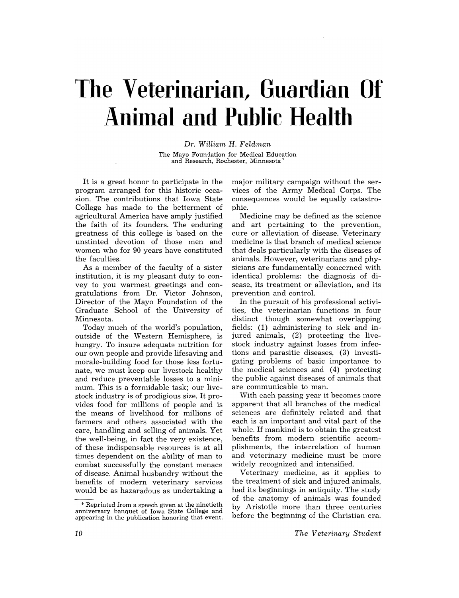# **The Veterinarian, Guardian Of Animal and Public Health**

*Dr. William* H. *Feldman*  The Mayo Foundation for Medical Education and Research, Rochester, Minnesota <sup>1</sup>

It is a great honor to participate in the program arranged for this historic occasion. The contributions that Iowa State College has made to the betterment of agricultural America have amply justified the faith of its founders. The enduring greatness of this college is based on the unstinted devotion of those men and women who for 90 years have constituted the faculties.

As a member of the faculty of a sister institution, it is my pleasant duty to convey to you warmest greetings and congratulations from Dr. Victor Johnson, Director of the Mayo Foundation of the Graduate School of the University of Minnesota.

Today much of the world's population, outside of the Western Hemisphere, is hungry. To insure adequate nutrition for our own people and provide lifesaving and morale-building food for those less fortunate, we must keep our livestock healthy and reduce preventable losses to a minimum. This is a formidable task; our livestock industry is of prodigious size. It provides food for millions of people and is the means of livelihood for millions of farmers and others associated with the care, handling and selling of animals. Yet the well-being, in fact the very existence, of these indispensable resources is at all times dependent on the ability of man to combat successfully the constant menace of disease. Animal husbandry without the benefits of modern veterinary services would be as hazaradous as undertaking a

major military campaign without the services of the Army Medical Corps. The consequences would be equally catastrophic.

Medicine may be defined as the science and art pertaining to the prevention, cure or alleviation of disease. Veterinary medicine is that branch of medical science that deals particularly with the diseases of animals. However, veterinarians and physicians are fundamentally concerned with identical problems: the diagnosis of disease, its treatment or alleviation, and its prevention and control.

In the pursuit of his professional activities, the veterinarian functions in four distinct though somewhat overlapping fields: (1) administering to sick and injured animals, (2) protecting the livestock industry against losses from infections and parasitic diseases, (3) investigating problems of basic importance to the medical sciences and (4) protecting the public against diseases of animals that are communicable to man.

With each passing year it becomes more apparent that all branches of the medical sciences are definitely related and that each is an important and vital part of the whole. If mankind is to obtain the greatest benefits from modern scientific accomplishments, the interrelation of human and veterinary medicine must be more widely recognized and intensified.

Veterinary medicine, as it applies to the treatment of sick and injured animals, had its beginnings in antiquity. The study of the anatomy of animals was founded by Aristotle more than three centuries before the beginning of the Christian era.

<sup>\*</sup> Reprinted from a speech given at the ninetieth anniversary banquet of Iowa State College and appearing in the publication honoring that event.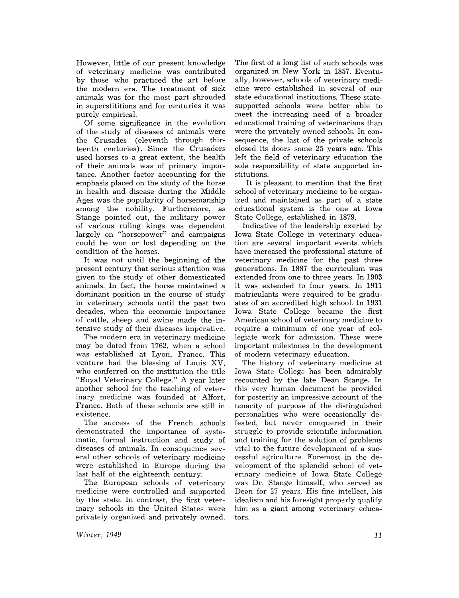However, little of our present knowledge of veterinary medicine was contributed by those who practiced the art before the modern era. The treatment of sick animals was for the most part shrouded in superstititions and for centuries it was purely empirical.

Of some significance in the evolution of the study of diseases of animals were the Crusades (eleventh through thirteenth centuries). Since the Crusaders used horses to a great extent, the health of their animals was of primary importance. Another factor accounting for the emphasis placed on the study of the horse in health and disease during the Middle Ages was the popularity of horsemanship among the nobility. Furthermore, as Stange pointed out, the military power of various ruling kings was dependent largely on "horsepower" and campaigns could be won or lost deperiding on the condition of the horses.

It was not until the beginning of the present century that serious attention was given to the study of other domesticated animals. In fact, the horse maintained a dominant position in the course of study in veterinary schools until the past two decades, when the economic importance of cattle, sheep and swine made the intensive study of their diseases imperative.

The modern era in veterinary medicine may be dated from 1762, when a school was established at Lyon, France. This venture had the blessing of Louis XV, who conferred on the institution the title "Royal Veterinary College." A year later another school for the teaching of veterinary medicine was founded at Alfort, France. Both of these schools are still in existence.

The success of the French schools demonstrated the importance of systematic, formal instruction and study of diseases of animals. In consequence several other schools of veterinary medicine were established in Europe during the last half of the eighteenth century.

The European schools of veterinary medicine were controlled and supported by the state. In contrast, the first veterinary schools in the United States were privately organized and privately owned.

The first ot a long list of such schools was organized in New York in 1857. Eventually, however, schools of veterinary medicine were established in several of our state educational institutions. These statesupported schools were better able to meet the increasing need of a broader educational training of veterinarians than were the privately owned schools. In consequence, the last of the private schools closed its doors some 25 years ago. This left the field of veterinary education the sole responsibility of state supported institutions.

It is pleasant to mention that the first school of veterinary medicine to be organized and maintained as part of a state educational system is the one at Iowa State College, established in 1879.

Indicative of the leadership exerted by Iowa State College in veterinary education are several important events which have increased the professional stature of veterinary medicine for the past three generations. In 1887 the curriculum was extended from one to three years. In 1903 it was extended to four years. In 1911 matriculants were required to be graduates of an accredited high school. In 1931 Iowa State College became the first American school of veterinary medicine to require a minimum of one year of collegiate work for admission. These were important milestones in the development of modern veterinary education.

The history of veterinary medicine at Iowa State College has been admirably recounted by the late Dean Stange. In this very human document he provided for posterity an impressive account of the tenacity of purpose of the distinguished personalities who were occasionally defeated, but never conquered in their struggle to provide scientific information and training for the solution of problems vital to the future development of a successful agriculture. Foremost in the development of the splendid school of veterinary medicine of Iowa State College was Dr. Stange himself, who served as Dean for 27 years. His fine intellect, his idealism and his foresight properly qualify him as a giant among veterinary educators.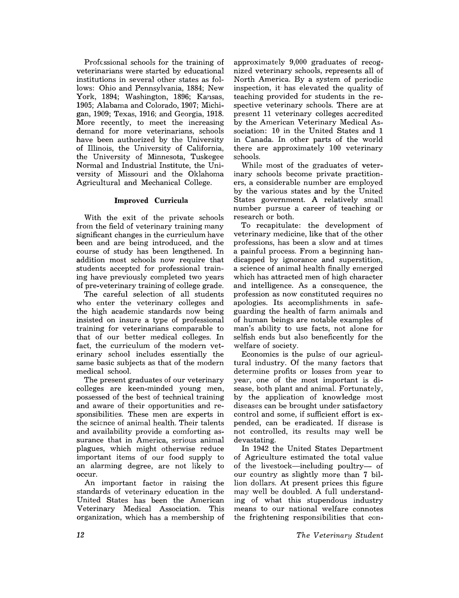Professional schools for the training of veterinarians were started by educational institutions in several other states as follows: Ohio and Pennsylvania, 1884; New York, 1894; Washington, 1896; Kansas, 1905; Alabama and Colorado, 1907; Michigan, 1909; Texas, 1916; and Georgia, 1918. More recently, to meet the increasing demand for more veterinarians, schools have been authorized by the University of Illinois, the University of California, the University of Minnesota, Tuskegee Normal and Industrial Institute, the University of Missouri and the Oklahoma Agricultural and Mechanical College.

#### Improved Curricula

With the exit of the private schools from the field of veterinary training many significant changes in the curriculum have been and are being introduced, and the course of study has been lengthened. In addition most schools now require that students accepted for professional training have previously completed two years of pre-veterinary training of college grade.

The careful selection of all students who enter the veterinary colleges and the high academic standards now being insisted on insure a type of professional training for veterinarians comparable to that of our better medical colleges. In fact, the curriculum of the modern veterinary school includes essentially the same basic subjects as that of the modern medical school.

The present graduates of our veterinary colleges are keen-minded young men, possessed of the best of technical training and aware of their opportunities and responsibilities. These men are experts in the science of animal health. Their talents and availability provide a comforting assurance that in America, serious animal plagues, which might otherwise reduce important items of our food supply to an alarming degree, are not likely to occur.

An important factor in raising the standards of veterinary education in the United States has been the American Veterinary Medical Association. This organization, which has a membership of

approximately 9,000 graduates of recognized veterinary schools, represents all of North America. By a system of periodic inspection, it· has elevated the quality of teaching provided for students in the respective veterinary schools. There are at present 11 veterinary colleges accredited by the American Veterinary Medical Association: 10 in the United States and 1 in Canada. In other parts of the world there are approximately 100 veterinary schools.

While most of the graduates of veterinary schools become private practitioners, a considerable number are employed by the various states and by the United States government. A relatively small number pursue a career of teaching or research or both.

To recapitulate: the development of veterinary medicine, like that of the other professions, has been a slow and at times a painful process. From a beginning handicapped by ignorance and superstition, a science of animal health finally emerged which has attracted men of high character and intelligence. As a consequence, the profession as now constituted requires no apologies. Its accomplishments in safeguarding the health of farm animals and of human beings are notable examples of man's ability to use facts, not alone for selfish ends but also beneficently for the welfare of society.

Economics is the pulse of our agricultural industry. Of the many factors that determine profits or losses from year to year, one of the most important is disease, both plant and animal. Fortunately, by the application of knowledge most diseases can be brought under satisfactory control and some, if sufficient effort is expended, can be eradicated. If disease is not controlled, its results may well be devastating.

In 1942 the United States Department of Agriculture estimated the total value of the livestock—including poultry— of our country as slightly more than 7 billion dollars. At present prices this figure may well be doubled. A full understanding of what this stupendous industry means to our national welfare connotes the frightening responsibilities that con-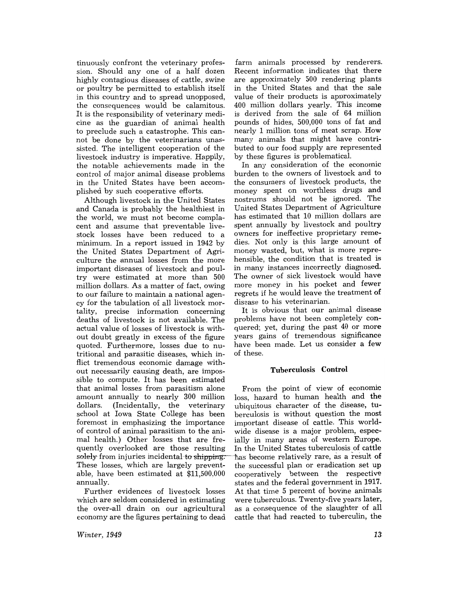tinuously confront the veterinary profession. Should any one of a half dozen highly contagious diseases of cattle, swine or poultry be permitted to establish itself *in* this country and to spread unopposed, the consequences would be calamitous. It is the responsibility of veterinary medicine as the guardian of animal health to preclude such a catastrophe. This cannot be done by the veterinarians unassisted. The intelligent cooperation of the livestock industry is imperative. Happily, the notable achievements made in the control of major animal disease problems in the United States have been accomplished by such cooperative efforts.

Although livestock in the United States and Canada is probably the healthiest in the world, we must not become complacent and assume that preventable livestock losses have been reduced to a minimum. In a report issued in 1942 by the United States Department of Agriculture the annual losses from the more important diseases of livestock and poultry were estimated at more than 500 million dollars. As a matter of fact, owing to our failure to maintain a national agency for the tabulation of all livestock mortality, precise information concerning deaths of livestock is not available. The actual value of losses of livestock is without doubt greatly in excess of the figure quoted. Furthermore, losses due to nutritional and parasitic diseases, which inflict tremendous economic damage without necessarily causing death, are impossible to compute. It has been estimated that animal losses from parasitism alone From the point of view of economic amount annually to nearly 300 million loss, hazard to human health and the dollars. (Incidentally, the veterinary ubiquitous character of the disease, tuschool at Iowa State College has been berculosis is without question the most foremost in emphasizing the importance important disease of cattle. This worldof control of animal parasitism to the ani- wide disease is a major problem, especmal health.) Other losses that are fre- ially in many areas of western Europe. quently overlooked are those resulting In the United States tuberculosis of cattle solely from injuries incidental to shipping: has become relatively rare, as a result of These losses, which are largely prevent- the successful plan or eradication set up able, have been estimated at \$11,500,000 cooperatively between the respective annually. states and the federal government in 1917.

which are seldom considered in estimating were tuberculous. Twenty-five years later, the over-all drain on our agricultural as a consequence of the slaughter of all Economy are the figures pertaining to dead cattle that had reacted to tuberculin, the

farm animals processed by renderers. Recent information indicates that there are approximately 500 rendering plants in the United States and that the sale value of their products is approximately 400 million dollars yearly. This income is derived from the sale of 64 million pounds of hides, 500,000 tons of fat and nearly 1 million tons of meat scrap. How many animals that might have contributed to our food supply are represented by these figures is problematical.

In any consideration of the economic burden to the owners of livestock and to the consumers of livestock products, the money spent on worthless drugs and nostrums should not be ignored. The United States Department of Agriculture has estimated that 10 million dollars are spent annually by livestock and poultry owners for ineffective proprietary remedies. Not only is this large amount of money wasted, but, what is more reprehensible, the condition that is treated is in many instances incorrectly diagnosed. The owner of sick livestock would have more money in his pocket and fewer regrets if he would leave the treatment of disease to his veterinarian.

It is obvious that our animal disease problems have not been completely conquered; yet, during the past 40 or more years gains of tremendous significance have been made. Let us consider a few of these.

#### Tuberculosis Control

Further evidences of livestock losses At that time 5 percent of bovine animals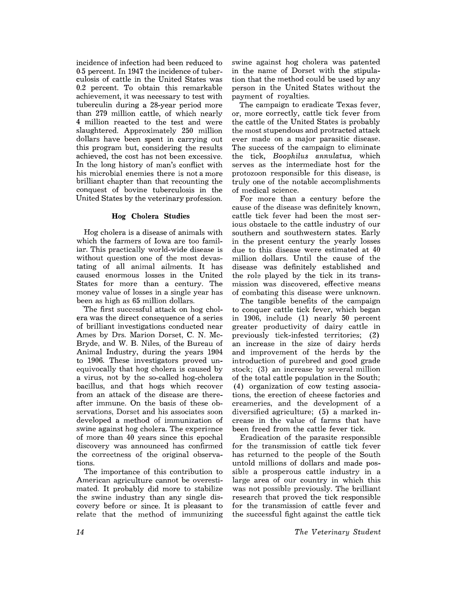incidence of infection had been reduced to 0.5 percent. In 1947 the incidence of tuberculosis of cattle in the United States was 0.2 percent. To obtain this remarkable achievement, it was necessary to test with tuberculin during a 28-year period more than 279 million cattle, of which nearly 4 million reacted to the test and were slaughtered. Approximately 250 million dollars have been spent in carrying out this program but, considering the results achieved, the cost has not been excessive. In the long history of man's conflict with his microbial enemies there is not a more brilliant chapter than that recounting the conquest of bovine tuberculosis in the United States by the veterinary profession.

### Hog Cholera Studies

Hog cholera is a disease of animals with which the farmers of Iowa are too familiar. This practically world-wide disease is without question one of the most devastating of all animal ailments. It has caused enormous losses in the United States for more than a century. The money value of losses in a single year has been as high as 65 million dollars.

'The first successful attack on hog cholera was the direct consequence of a series of brilliant investigations conducted near Ames by Drs. Marion Dorset, C. N. Mc-Bryde, and W. B. Niles, of the Bureau of Animal Industry, during the years 1904 to 1906. These investigators proved unequivocally that hog cholera is caused by a virus, not by the so-called hog-cholera bacillus, and that hogs which recover from an attack of the disease are thereafter immune. On the basis of these observations, Dorset and his associates soon developed a method of immunization of swine against hog cholera. The experience of more than 40 years since this epochal discovery was announced has confirmed the correctness of the original observations.

The importance of this contribution to American agriculture cannot be overestimated. It probably did more to stabilize the swine industry than any single discovery before or since. It is pleasant to relate that the method of immunizing

swine against hog cholera was patented in the name of Dorset with the stipulation that the method could be used by any person in the United States without the payment of royalties.

The campaign to eradicate Texas fever, or, more correctly, cattle tick fever from the cattle of the United States is probably the most stupendous and protracted attack ever made on a major parasitic disease. The success of the campaign to eliminate the tick, *Boophilus annulatus,* which serves as the intermediate host for the protozoon responsible for this disease, is truly one of the notable accomplishments of medical science.

For more than a century before the cause of the disease was definitely known, cattle tick fever had been the most serious obstacle to the cattle industry of our southern and southwestern states. Early in the present century the yearly losses due to this disease were estimated at 40 million dollars. Until the cause of the disease was definitely established and the role played by the tick in its transmission was discovered, effective means of combating this disease were unknown.

The tangible benefits of the campaign to conquer cattle tick fever, which began in 1906, include (1) nearly 50 percent greater productivity of dairy cattle in previously tick-infested territories; (2) an increase in the size of dairy herds and improvement of the herds by the introduction of purebred and good grade stock; (3) an increase by several million of the total cattle population in the South; (4) organization of cow testing associations, the erection of cheese factories and creameries. and the development of a diversified agriculture; (5) a marked increase in the value of farms that have been freed from the cattle fever tick.

Eradication of the parasite responsible for the transmission of cattle tick fever has returned to the people of the South untold millions of dollars and made possible a prosperous cattle industry in a large area of our country in which this was not possible previously. The brilliant research that proved the tick responsible for the transmission of cattle fever and the successful fight against the cattle tick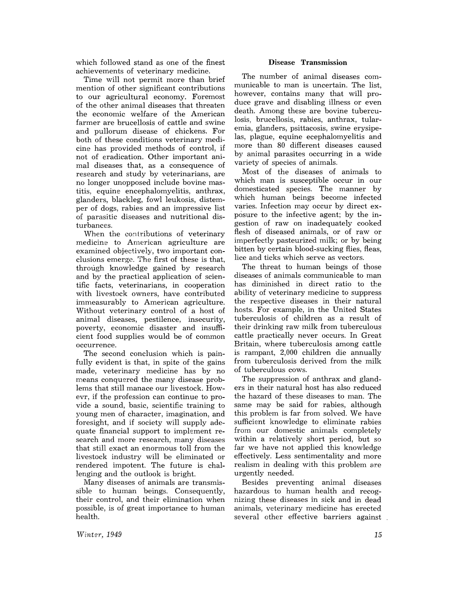which followed stand as one of the finest achievements of veterinary medicine.

Time will not permit more than brief mention of other significant contributions to our agricultural economy. Foremost of the other animal diseases that threaten the economic welfare of the American farmer are brucellosis of cattle and swine and pullorum disease of chickens. For both of these conditions veterinary medicine has provided methods of control, if not of eradication. Other important animal diseases that, as a consequence of research and study by veterinarians, are no longer unopposed include bovine mastitis, equine encephalomyelitis, anthrax, glanders, blackleg, fowl leukosis, distemper of dogs, rabies and an impressive list of parasitic diseases and nutritional disturbances.

When the contributions of veterinary medicine to American agriculture are examined objectively, two important conclusions emerge. The first of these is that, through knowledge gained by research and by the practical application of scientific facts, veterinarians, in cooperation with livestock owners, have contributed immeasurably to American agriculture. Without veterinary control of a host of animal diseases, pestilence, insecurity, poverty, economic disaster and insufficient food supplies would be of common occurrence.

The second conclusion which is painfully evident is that, in spite of the gains made, veterinary medicine has by no means conquered the many disease problems that still manace our livestock. Howevr, if the profession can continue to provide a sound, basic, scientific training to young men of character, imagination, and foresight, and if society will supply adequate financial support to implement research and more research, many diseases that still exact an enormous toll from the livestock industry will be eliminated or rendered impotent. The future is challenging and the outlook is bright.

Many diseases of animals are transmissible to human beings. Consequently, their control, and their elimination when possible, is of great importance to human health.

#### Disease **Transmission**

The number of animal diseases communicable to man is uncertain. The list, however, contains many that will produce grave and disabling illness or even death. Among these are bovine tuberculosis, brucellosis, rabies, anthrax, tularemia, glanders, psittacosis, swine erysipelas, plague, equine ecephalomyelitis and more than 80 different diseases caused by animal parasites occurring in a wide variety of species of animals.

Most of the diseases of animals to which man is susceptible occur in our domesticated species. The manner by which human beings become infected varies. Infection may occur by direct exposure to the infective agent; by the ingestion of raw on inadequately cooked flesh of diseased animals, or of raw or imperfectly pasteurized milk; or by being bitten by certain blood-sucking flies, fleas, lice and ticks which serve as vectors.

The threat to human beings of those diseases of animals communicable to man has diminished in direct ratio to the ability of veterinary medicine to suppress the respective diseases in their natural hosts. For example, in the United States tuberculosis of children as a result of their drinking raw milk from tuberculous cattle practically never occurs. In Great Britain, where tuberculosis among cattle is rampant, 2,000 children die annually from tuberculosis derived from the milk of tuberculous cows.

The suppression of anthrax and glanders in their natural host has also reduced the hazard of these diseases to man. The same may be said for rabies, although this problem is far from solved. We have sufficient knowledge to eliminate rabies from our domestic animals completely within a relatively short period, but so far we have not applied this knowledge effectively. Less sentimentality and more realism in dealing with this problem are urgently needed.

Besides preventing animal diseases hazardous to human health and recognizing these diseases in sick and in dead animals, veterinary medicine has erected several other effective barriers against

*Winter, 1949*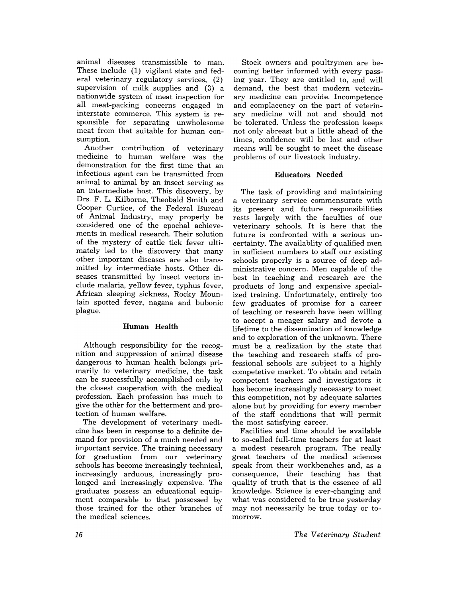animal diseases transmissible to man. These include (1) vigilant state and federal veterinary regulatory services, (2) supervision of milk supplies and (3) a nationwide system of meat inspection for all meat-packing concerns engaged in interstate commerce. This system is responsible for separating unwholesome meat from that suitable for human consumption.

Another contribution of veterinary medicine to human welfare was the demonstration for the first time that an infectious agent can be transmitted from animal to animal by an insect serving as an intermediate host. This discovery, by Drs. F. L. Kilborne, Theobald Smith and Cooper Curtice, of the Federal Bureau of Animal Industry, may properly be considered one of the epochal achievements in medical research. Their solution of the mystery of cattle tick fever ultimately led to the discovery that many other important diseases are also transmitted by intermediate hosts. Other diseases transmitted by insect vectors include malaria, yellow fever, typhus fever, African sleeping sickness, Rocky Mountain spotted fever, nagana and bubonic plague.

#### **Human Health**

Although responsibility for the recognition and suppression of animal disease dangerous to human health belongs primarily to veterinary medicine, the task can be successfully accomplished only by the closest cooperation with the medical profession. Each profession has much to give the other for the betterment and protection of human welfare.

The development of veterinary medicine has been in response to a definite demand for provision of a much needed and important service. The training necessary for graduation from our veterinary schools has become increasingly technical, increasingly arduous, increasingly prolonged and increasingly expensive. The graduates possess an educational equipment comparable to that possessed by those trained for the other branches of the medical sciences.

Stock owners and poultrymen are becoming better informed with every passing year. They are entitled to, and will demand, the best that modern veterinary medicine can provide. Incompetence and complacency on the part of veterinary medicine will not and should not be tolerated. Unless the profession keeps not only abreast but a little ahead of the times, confidence will be lost and other means will be sought to meet the disease problems of our livestock industry.

### **Educators Needed**

The task of providing and maintaining a veterinary service commensurate with its present and future responsibilities rests largely with the faculties of our veterinary schools. It is here that the future is confronted with a serious uncertainty. The availablity of qualified men in sufficient numbers to staff our existing schools properly is a source of deep administrative concern. Men capable of the best in teaching and research are the products of long and expensive specialized training. Unfortunately, entirely too few graduates of promise for a career of teaching or research have been willing to accept a meager salary and devote a lifetime to the dissemination of knowledge and to exploration of the unknown. There must be a realization by the state that the teaching and research staffs of professional schools are subject to a highly competetive market. To obtain and retain competent teachers and investigators it has become increasingly necessary to meet this competition, not by adequate salaries alone but by providing for every member of the staff conditions that will permit the most satisfying career.

Facilities and time should be available to so-called full-time teachers for at least a modest research program. The really great teachers of the medical sciences speak from their workbenches and, as a consequence, their teaching has that quality of truth that is the essence of all know ledge. Science is ever-changing and what was considered to be true yesterday may not necessarily be true today or tomorrow.

*The Veterinary Student*